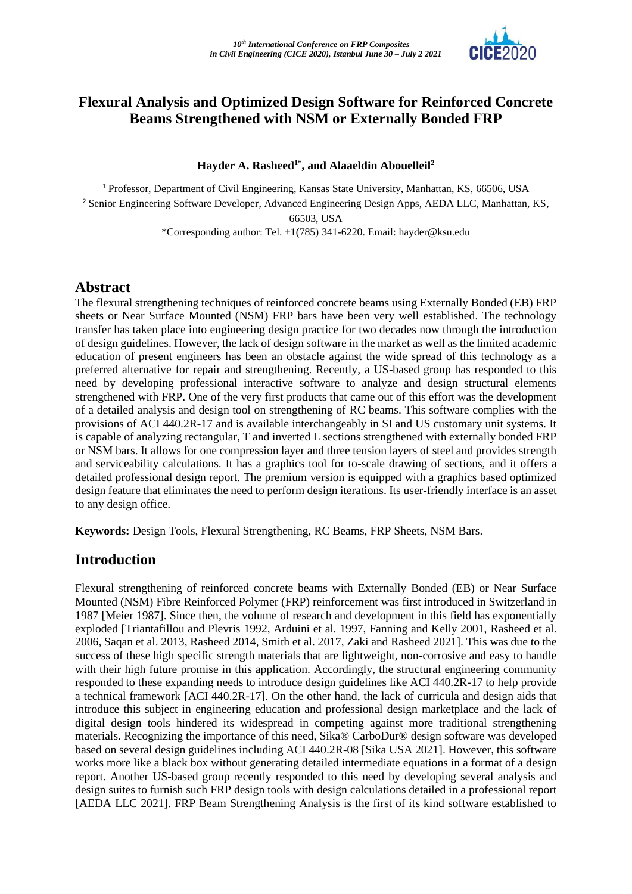

### **Flexural Analysis and Optimized Design Software for Reinforced Concrete Beams Strengthened with NSM or Externally Bonded FRP**

#### **Hayder A. Rasheed1\* , and Alaaeldin Abouelleil<sup>2</sup>**

<sup>1</sup> Professor, Department of Civil Engineering, Kansas State University, Manhattan, KS, 66506, USA <sup>2</sup> Senior Engineering Software Developer, Advanced Engineering Design Apps, AEDA LLC, Manhattan, KS, 66503, USA \*Corresponding author: Tel. +1(785) 341-6220. Email[: hayder@ksu.edu](mailto:hayder@ksu.edu)

#### **Abstract**

The flexural strengthening techniques of reinforced concrete beams using Externally Bonded (EB) FRP sheets or Near Surface Mounted (NSM) FRP bars have been very well established. The technology transfer has taken place into engineering design practice for two decades now through the introduction of design guidelines. However, the lack of design software in the market as well as the limited academic education of present engineers has been an obstacle against the wide spread of this technology as a preferred alternative for repair and strengthening. Recently, a US-based group has responded to this need by developing professional interactive software to analyze and design structural elements strengthened with FRP. One of the very first products that came out of this effort was the development of a detailed analysis and design tool on strengthening of RC beams. This software complies with the provisions of ACI 440.2R-17 and is available interchangeably in SI and US customary unit systems. It is capable of analyzing rectangular, T and inverted L sections strengthened with externally bonded FRP or NSM bars. It allows for one compression layer and three tension layers of steel and provides strength and serviceability calculations. It has a graphics tool for to-scale drawing of sections, and it offers a detailed professional design report. The premium version is equipped with a graphics based optimized design feature that eliminates the need to perform design iterations. Its user-friendly interface is an asset to any design office.

**Keywords:** Design Tools, Flexural Strengthening, RC Beams, FRP Sheets, NSM Bars.

### **Introduction**

Flexural strengthening of reinforced concrete beams with Externally Bonded (EB) or Near Surface Mounted (NSM) Fibre Reinforced Polymer (FRP) reinforcement was first introduced in Switzerland in 1987 [Meier 1987]. Since then, the volume of research and development in this field has exponentially exploded [Triantafillou and Plevris 1992, Arduini et al. 1997, Fanning and Kelly 2001, Rasheed et al. 2006, Saqan et al. 2013, Rasheed 2014, Smith et al. 2017, Zaki and Rasheed 2021]. This was due to the success of these high specific strength materials that are lightweight, non-corrosive and easy to handle with their high future promise in this application. Accordingly, the structural engineering community responded to these expanding needs to introduce design guidelines like ACI 440.2R-17 to help provide a technical framework [ACI 440.2R-17]. On the other hand, the lack of curricula and design aids that introduce this subject in engineering education and professional design marketplace and the lack of digital design tools hindered its widespread in competing against more traditional strengthening materials. Recognizing the importance of this need, Sika® CarboDur® design software was developed based on several design guidelines including ACI 440.2R-08 [Sika USA 2021]. However, this software works more like a black box without generating detailed intermediate equations in a format of a design report. Another US-based group recently responded to this need by developing several analysis and design suites to furnish such FRP design tools with design calculations detailed in a professional report [AEDA LLC 2021]. FRP Beam Strengthening Analysis is the first of its kind software established to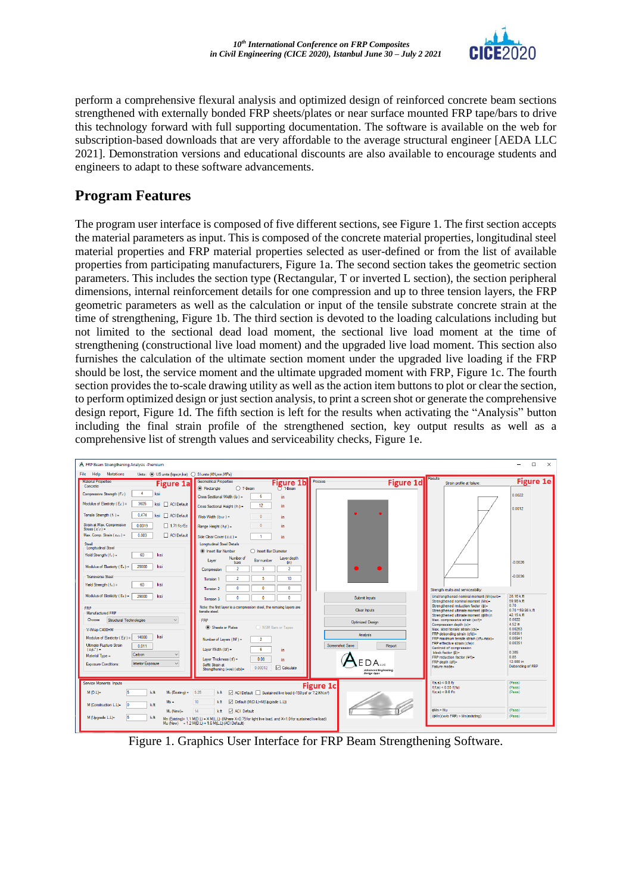

perform a comprehensive flexural analysis and optimized design of reinforced concrete beam sections strengthened with externally bonded FRP sheets/plates or near surface mounted FRP tape/bars to drive this technology forward with full supporting documentation. The software is available on the web for subscription-based downloads that are very affordable to the average structural engineer [AEDA LLC 2021]. Demonstration versions and educational discounts are also available to encourage students and engineers to adapt to these software advancements.

# **Program Features**

The program user interface is composed of five different sections, see Figure 1. The first section accepts the material parameters as input. This is composed of the concrete material properties, longitudinal steel material properties and FRP material properties selected as user-defined or from the list of available properties from participating manufacturers, Figure 1a. The second section takes the geometric section parameters. This includes the section type (Rectangular, T or inverted L section), the section peripheral dimensions, internal reinforcement details for one compression and up to three tension layers, the FRP geometric parameters as well as the calculation or input of the tensile substrate concrete strain at the time of strengthening, Figure 1b. The third section is devoted to the loading calculations including but not limited to the sectional dead load moment, the sectional live load moment at the time of strengthening (constructional live load moment) and the upgraded live load moment. This section also furnishes the calculation of the ultimate section moment under the upgraded live loading if the FRP should be lost, the service moment and the ultimate upgraded moment with FRP, Figure 1c. The fourth section provides the to-scale drawing utility as well as the action item buttons to plot or clear the section, to perform optimized design or just section analysis, to print a screen shot or generate the comprehensive design report, Figure 1d. The fifth section is left for the results when activating the "Analysis" button including the final strain profile of the strengthened section, key output results as well as a comprehensive list of strength values and serviceability checks, Figure 1e.

| A FRP Beam Strengthening Analysis -Premium                                                                              |                                                                                                                                                                         |                                                                 |                                                                                                                          | $\Box$<br>$\times$<br>-          |
|-------------------------------------------------------------------------------------------------------------------------|-------------------------------------------------------------------------------------------------------------------------------------------------------------------------|-----------------------------------------------------------------|--------------------------------------------------------------------------------------------------------------------------|----------------------------------|
| File Help<br><b>Notations</b><br>Units: (a) US units (kips.in.ksi) <a> SI units (KN.mm.MPa)</a>                         |                                                                                                                                                                         |                                                                 |                                                                                                                          |                                  |
| <b>Material Properties</b><br><b>Figure 1a</b><br>Concrete                                                              | <b>Geometrical Properties</b><br><b>Figure 1b</b><br>$7 - $ Beam<br>C Rectangle<br>○ T-Beam                                                                             | Process<br><b>Figure 1d</b>                                     | Results<br>Strain profile at failure:                                                                                    | <b>Figure 1e</b>                 |
| $\blacktriangle$<br>Compressive Strength (f'c)<br>ksi<br>Modulus of Elasticity ( $E_c$ ) =<br>3605<br>ksi   ACI Default | Cross Sectional Width (b) =<br>6<br>in.<br>12<br>Cross Sectional Height (h) =<br>in.                                                                                    |                                                                 |                                                                                                                          | 0.0022                           |
| Tensile Strength (fr) =<br>0.474<br>ksi □ ACI Default                                                                   | Web Width $(b10)$ =<br>$\Omega$<br>in.                                                                                                                                  |                                                                 |                                                                                                                          | 0.0012                           |
| Strain at Max. Compressive<br>0.0019<br>$\Box$ 1.71 f'c/Ec.<br>Stress $(\varepsilon c)$ =                               | in.<br>Flange Height $(hf)$ =                                                                                                                                           |                                                                 |                                                                                                                          |                                  |
| Max. Comp. Strain $(\varepsilon_{\text{cv}})$ =<br>0.003<br>ACI Default<br>Steel<br><b>Longitudinal Steel</b>           | Side Clear Cover $(c.c.) =$<br>in.<br><b>Longitudinal Steel Details</b><br>(a) Insert Bar Number<br>◯ Insert Bar Diameter                                               |                                                                 |                                                                                                                          |                                  |
| 60<br>Yield Strength $(f_Y)$ =<br>ksi<br>Modulus of Elasticity (Es) =<br>29000<br>ksi                                   | Number of<br>Laver depth<br><b>Bar number</b><br>Laver<br><b>bars</b><br>(n)<br>$\overline{2}$<br>$\overline{2}$<br>$\overline{3}$                                      |                                                                 |                                                                                                                          | $-0.0026$                        |
| <b>Transverse Steel</b>                                                                                                 | Compression<br>$\mathcal{P}$<br>5<br>10 <sub>10</sub><br>Tension 1                                                                                                      |                                                                 |                                                                                                                          | $-0.0036$                        |
| Yield Strenath (fv) =<br>60<br>ksi                                                                                      | $\theta$<br>$\mathbf{a}$<br>0<br>Tension 2                                                                                                                              |                                                                 | Strength reults and serviceability:                                                                                      |                                  |
| Modulus of Elasticity ( $E_s$ ) =<br>29000<br>ksi<br><b>FRP</b>                                                         | $\mathbf{0}$<br>$\mathbf{0}$<br>$\bullet$<br>Tension 3<br>Note: the first layer is a compression steel, the remaing layers are                                          | Submit Inputs                                                   | Unstrengthened nominal moment (Mn)w/o=<br>Strengthened nominal moment (Mn)=<br>Strengthened reduction factor ( $\phi$ )= | 28.16 k.ft<br>59.98 k ft<br>0.70 |
| Manufactured FRP                                                                                                        | tensile steel                                                                                                                                                           | Clear Inputs                                                    | Strengthened ultimate moment (\$Mn)=<br>Strengthened ultimate moment (@Mn)=                                              | 0.70 * 59.98 k.ft<br>42.15 k.ft  |
| Choose<br>Structural Technologies<br>$\vee$                                                                             | <b>FRP</b><br>Sheets or Plates<br>O NSM Bars or Tapes                                                                                                                   | <b>Optimized Design</b>                                         | Max. compressive strain (ccf)=<br>Compression depth (c)=<br>Max, steel tensile strain (cs)=                              | 0.0022<br>4.52 in<br>0.00263     |
| V-Wrap C400HM<br>ksi<br>14000<br>Modulus of Elasticity (EA) =                                                           |                                                                                                                                                                         | Analysis                                                        | FRP debonding strain (cfd)=<br>FRP maximum tensile strain (cfu-max)=                                                     | 0.00351<br>0.00941               |
| <b>Ultimate Rupture Strain</b><br>0.011<br>$(e/\omega^*)$ =                                                             | Number of Layers (Nf) =<br>$\overline{2}$<br>Laver Width (bf) =<br>6                                                                                                    | <b>Screenshot Save</b><br>Report                                | FRP effective strain (sfe)=<br>Centroid of compression                                                                   | 0.00351                          |
| Carbon<br>$\checkmark$<br>Material Type =                                                                               | in.<br>Laver Thickness $(f) =$<br>0.08<br>in.                                                                                                                           |                                                                 | block factor (B)=<br>FRP reduction factor (Vf)=                                                                          | 0.385<br>0.85                    |
| Interior Exposure<br>$\vee$<br>Exposure Conditions:                                                                     | Soffit Strain at<br>$\triangledown$ Calculate<br>0.00012<br>Strengthening (+ve) ( sbi)=                                                                                 | EDA <sub>uc</sub><br><b>Advanced Engineering</b><br>Design Apps | $FRP$ depth $(df) =$<br><b>Eailure</b> mode=                                                                             | 12.080 in<br>Debonding of FRP    |
| Service Moments Inputs                                                                                                  |                                                                                                                                                                         | <b>Figure 1c</b>                                                | $f(s,s) < 0.8$ fv<br>f(f,s) < 0.55 f(fu)                                                                                 | (Pass)<br>(Pass)                 |
| $M(D,L)=$<br>l5<br>kft<br>$M_n$ (Existing) =                                                                            | 9.25<br>ACI Default   Sustained live load (>150 psf or 7.2 KN m <sup>3</sup> )<br>⊠<br>k.ft                                                                             |                                                                 | $f(c,s) < 0.6$ fc                                                                                                        | (Pass)                           |
| $Ms =$<br>lo<br>M (Construction L.L)=<br>kft                                                                            | 10 <sub>10</sub><br>□ Default (M(D.L)+M(Ubgrade L.L))<br>kft<br>14<br>ACI Default                                                                                       |                                                                 | dMn > Mu                                                                                                                 | (Pass)                           |
| M. (New)=<br>M (Upgrade L.L)=<br>15<br>kft                                                                              | kft<br>Mn (Existing)= 1.1 M(D,L) + X M(L,L) (Where X=0.75 for light live load, and X=1.0 for sustained live load)<br>Mu (New) = $1.2 M(D.L) + 1.6 M(L.L) (ACI Default)$ |                                                                 | (6Mn)(w/o FRP) > Mn(existing)                                                                                            | (Pass)                           |

Figure 1. Graphics User Interface for FRP Beam Strengthening Software.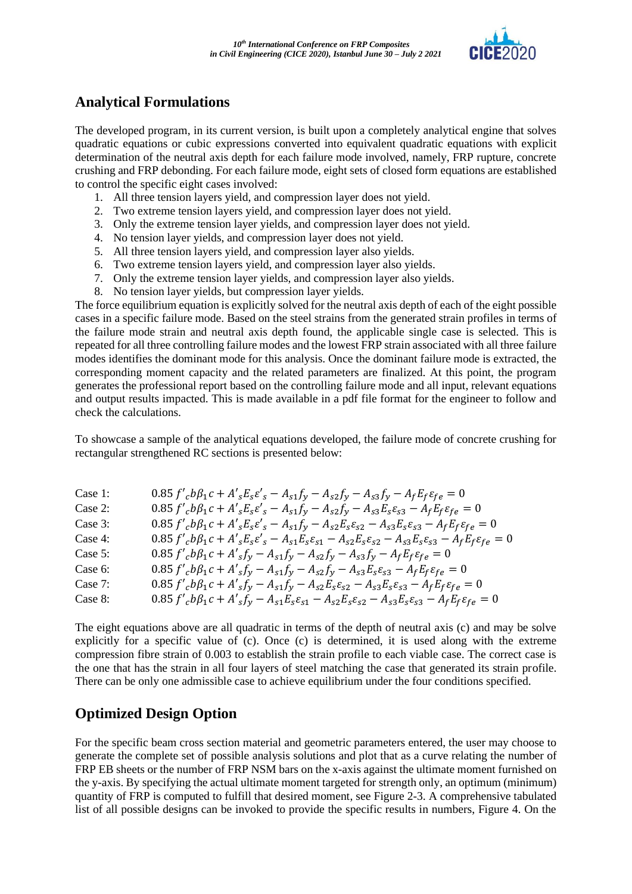

# **Analytical Formulations**

The developed program, in its current version, is built upon a completely analytical engine that solves quadratic equations or cubic expressions converted into equivalent quadratic equations with explicit determination of the neutral axis depth for each failure mode involved, namely, FRP rupture, concrete crushing and FRP debonding. For each failure mode, eight sets of closed form equations are established to control the specific eight cases involved:

- 1. All three tension layers yield, and compression layer does not yield.
- 2. Two extreme tension layers yield, and compression layer does not yield.
- 3. Only the extreme tension layer yields, and compression layer does not yield.
- 4. No tension layer yields, and compression layer does not yield.
- 5. All three tension layers yield, and compression layer also yields.
- 6. Two extreme tension layers yield, and compression layer also yields.
- 7. Only the extreme tension layer yields, and compression layer also yields.
- 8. No tension layer yields, but compression layer yields.

The force equilibrium equation is explicitly solved for the neutral axis depth of each of the eight possible cases in a specific failure mode. Based on the steel strains from the generated strain profiles in terms of the failure mode strain and neutral axis depth found, the applicable single case is selected. This is repeated for all three controlling failure modes and the lowest FRP strain associated with all three failure modes identifies the dominant mode for this analysis. Once the dominant failure mode is extracted, the corresponding moment capacity and the related parameters are finalized. At this point, the program generates the professional report based on the controlling failure mode and all input, relevant equations and output results impacted. This is made available in a pdf file format for the engineer to follow and check the calculations.

To showcase a sample of the analytical equations developed, the failure mode of concrete crushing for rectangular strengthened RC sections is presented below:

| Case 1: | $0.85 f'_{c} b \beta_1 c + A'_{s} E_{s} \varepsilon'_{s} - A_{s1} f_{y} - A_{s2} f_{y} - A_{s3} f_{y} - A_{f} E_{f} \varepsilon_{f} e = 0$                                       |
|---------|----------------------------------------------------------------------------------------------------------------------------------------------------------------------------------|
| Case 2: | $0.85 f'_{c} b \beta_1 c + A'_{s} E_s \varepsilon'_{s} - A_{s1} f_y - A_{s2} f_y - A_{s3} E_s \varepsilon_{s3} - A_f E_f \varepsilon_{fe} = 0$                                   |
| Case 3: | $0.85 f'_{c} b \beta_1 c + A'_{s} E_s \varepsilon'_{s} - A_{s1} f_y - A_{s2} E_s \varepsilon_{s2} - A_{s3} E_s \varepsilon_{s3} - A_f E_f \varepsilon_{fe} = 0$                  |
| Case 4: | $0.85 f'_{c} b \beta_1 c + A'_{s} E_s \varepsilon'_{s} - A_{s1} E_s \varepsilon_{s1} - A_{s2} E_s \varepsilon_{s2} - A_{s3} E_s \varepsilon_{s3} - A_f E_f \varepsilon_{fe} = 0$ |
| Case 5: | $0.85 f'_{c} b \beta_1 c + A'_{s} f_{y} - A_{s1} f_{y} - A_{s2} f_{y} - A_{s3} f_{y} - A_{f} E_{f} \varepsilon_{fe} = 0$                                                         |
| Case 6: | $0.85 f'_{c} b \beta_1 c + A'_{s} f_{y} - A_{s1} f_{y} - A_{s2} f_{y} - A_{s3} E_{s} \varepsilon_{s3} - A_{f} E_{f} \varepsilon_{f} e = 0$                                       |
| Case 7: | $0.85 f'_{c} b \beta_1 c + A'_{s} f_{y} - A_{s1} f_{y} - A_{s2} E_{s} \varepsilon_{s2} - A_{s3} E_{s} \varepsilon_{s3} - A_{f} E_{f} \varepsilon_{f} e = 0$                      |
| Case 8: | $0.85 f'_{c} b \beta_1 c + A'_{s} f_{y} - A_{s1} E_{s} \varepsilon_{s1} - A_{s2} E_{s} \varepsilon_{s2} - A_{s3} E_{s} \varepsilon_{s3} - A_{f} E_{f} \varepsilon_{f} e = 0$     |

The eight equations above are all quadratic in terms of the depth of neutral axis (c) and may be solve explicitly for a specific value of (c). Once (c) is determined, it is used along with the extreme compression fibre strain of 0.003 to establish the strain profile to each viable case. The correct case is the one that has the strain in all four layers of steel matching the case that generated its strain profile. There can be only one admissible case to achieve equilibrium under the four conditions specified.

## **Optimized Design Option**

For the specific beam cross section material and geometric parameters entered, the user may choose to generate the complete set of possible analysis solutions and plot that as a curve relating the number of FRP EB sheets or the number of FRP NSM bars on the x-axis against the ultimate moment furnished on the y-axis. By specifying the actual ultimate moment targeted for strength only, an optimum (minimum) quantity of FRP is computed to fulfill that desired moment, see Figure 2-3. A comprehensive tabulated list of all possible designs can be invoked to provide the specific results in numbers, Figure 4. On the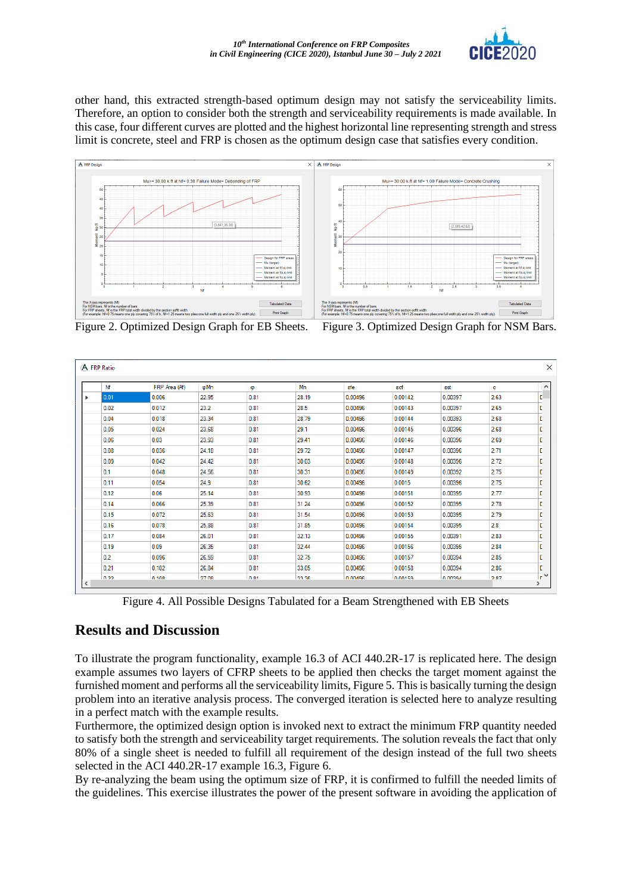

other hand, this extracted strength-based optimum design may not satisfy the serviceability limits. Therefore, an option to consider both the strength and serviceability requirements is made available. In this case, four different curves are plotted and the highest horizontal line representing strength and stress limit is concrete, steel and FRP is chosen as the optimum design case that satisfies every condition.



Figure 2. Optimized Design Graph for EB Sheets. Figure 3. Optimized Design Graph for NSM Bars.

| Nf   | FRP Area (Af) | φMn   | Φ    | Mn    | εfe     | ecf     | est     | c    |  |
|------|---------------|-------|------|-------|---------|---------|---------|------|--|
| 0.01 | 0.006         | 22.95 | 0.81 | 28.19 | 0.00496 | 0.00142 | 0.00397 | 2.63 |  |
| 0.02 | 0.012         | 23.2  | 0.81 | 28.5  | 0.00496 | 0.00143 | 0.00397 | 2.65 |  |
| 0.04 | 0.018         | 23.34 | 0.81 | 28.79 | 0.00496 | 0.00144 | 0.00393 | 2.68 |  |
| 0.05 | 0.024         | 23.68 | 0.81 | 29.1  | 0.00496 | 0.00145 | 0.00396 | 2.68 |  |
| 0.06 | 0.03          | 23.93 | 0.81 | 29.41 | 0.00496 | 0.00146 | 0.00396 | 2.69 |  |
| 0.08 | 0.036         | 24.18 | 0.81 | 29.72 | 0.00496 | 0.00147 | 0.00396 | 2.71 |  |
| 0.09 | 0.042         | 24.42 | 0.81 | 30.03 | 0.00496 | 0.00148 | 0.00396 | 2.72 |  |
| 0.1  | 0.048         | 24.56 | 0.81 | 30.31 | 0.00496 | 0.00149 | 0.00392 | 2.75 |  |
| 0.11 | 0.054         | 24.9  | 0.81 | 30.62 | 0.00496 | 0.0015  | 0.00396 | 2.75 |  |
| 0.12 | 0.06          | 25.14 | 0.81 | 30.93 | 0.00496 | 0.00151 | 0.00395 | 2.77 |  |
| 0.14 | 0.066         | 25.39 | 0.81 | 31.24 | 0.00496 | 0.00152 | 0.00395 | 2.78 |  |
| 0.15 | 0.072         | 25.63 | 0.81 | 31.54 | 0.00496 | 0.00153 | 0.00395 | 2.79 |  |
| 0.16 | 0.078         | 25.88 | 0.81 | 31.85 | 0.00496 | 0.00154 | 0.00395 | 2.8  |  |
| 0.17 | 0.084         | 26.01 | 0.81 | 32.13 | 0.00496 | 0.00155 | 0.00391 | 2.83 |  |
| 0.19 | 0.09          | 26.35 | 0.81 | 32.44 | 0.00496 | 0.00156 | 0.00395 | 2.84 |  |
| 0.2  | 0.096         | 26.59 | 0.81 | 32.75 | 0.00496 | 0.00157 | 0.00394 | 2.85 |  |
| 0.21 | 0.102         | 26.84 | 0.81 | 33.05 | 0.00496 | 0.00158 | 0.00394 | 2.86 |  |

Figure 4. All Possible Designs Tabulated for a Beam Strengthened with EB Sheets

### **Results and Discussion**

To illustrate the program functionality, example 16.3 of ACI 440.2R-17 is replicated here. The design example assumes two layers of CFRP sheets to be applied then checks the target moment against the furnished moment and performs all the serviceability limits, Figure 5. This is basically turning the design problem into an iterative analysis process. The converged iteration is selected here to analyze resulting in a perfect match with the example results.

Furthermore, the optimized design option is invoked next to extract the minimum FRP quantity needed to satisfy both the strength and serviceability target requirements. The solution reveals the fact that only 80% of a single sheet is needed to fulfill all requirement of the design instead of the full two sheets selected in the ACI 440.2R-17 example 16.3, Figure 6.

By re-analyzing the beam using the optimum size of FRP, it is confirmed to fulfill the needed limits of the guidelines. This exercise illustrates the power of the present software in avoiding the application of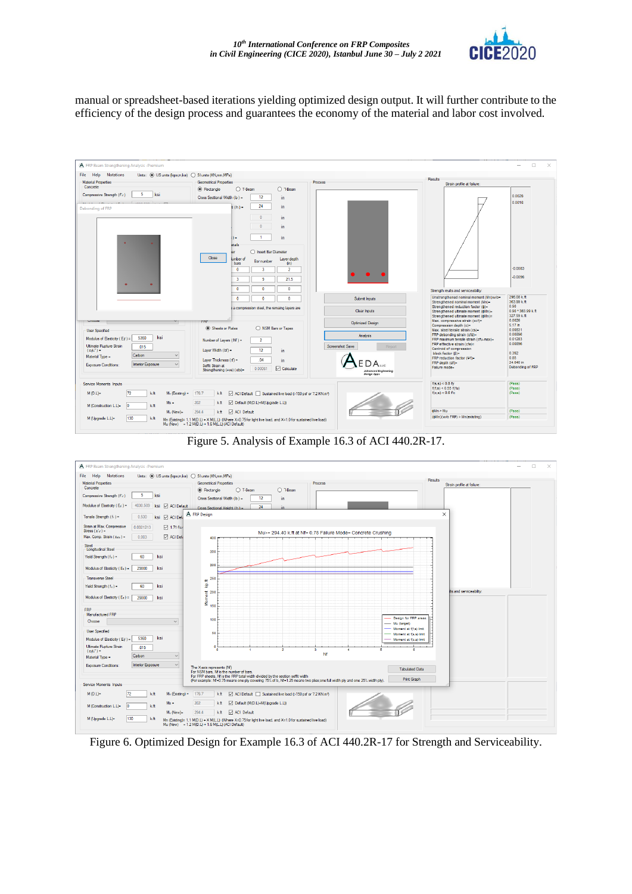

manual or spreadsheet-based iterations yielding optimized design output. It will further contribute to the efficiency of the design process and guarantees the economy of the material and labor cost involved.



Figure 5. Analysis of Example 16.3 of ACI 440.2R-17.



Figure 6. Optimized Design for Example 16.3 of ACI 440.2R-17 for Strength and Serviceability.